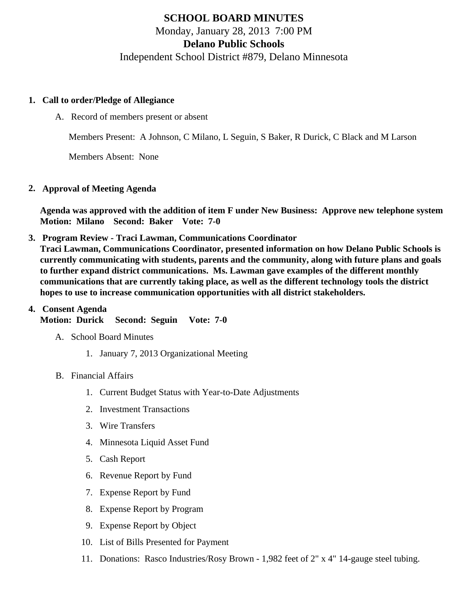# SCHOOL BOARD MINUTES Monday, January 28, 2013 7:00 PM Delano Public Schools Independent School District #879, Delano Minnesota

- 1. Call to order/Pledge of Allegiance
	- A. Record of members present or absent

Members Present: A Johnson, C Milano, L Seguin, S Baker, R Durick, C Black and M Larson

Members Absent: None

2. Approval of Meeting Agenda

Agenda was approved with the addition of item F under New Business: Approve new telephone system Motion: Milano Second: Baker Vote: 7-0

3. [Program Review](/docs/district/Business_Office/School_Board_Communications_2012-2013.pdf) - Traci Lawman, Communications Coordinator

Traci Lawman, Communications Coordinator, presented information on how Delano Public Schools is currently communicating with students, parents and the community, along with future plans and goals to further expand district communications. Ms. Lawman gave examples of the different monthly communications that are currently taking place, as well as the different technology tools the district hopes to use to increase communication opportunities with all district stakeholders.

- 4. Consent Agenda Motion: Durick Second: Seguin Vote: 7-0
	- A. School Board Minutes
		- 1. [January 7, 201](/docs/district/Business_Office/1.7.13_Board_Minutes.pdf)8rganizational Meeting
	- B. Financial Affairs
		- 1. [Current Budge](/docs/district/Business_Office/Budget_Report_Jan_2013.pdf)Statuswith Year-to-Date Adjustments
		- 2. [Investment Transactio](/docs/district/Business_Office/Investment_Schedule_2012-13.pdf   	)ns
		- 3. [Wire Transfer](/docs/district/Business_Office/Wire_Transfer.pdf)s
		- 4. [Minnesota Liquid Asset Fun](/docs/district/Business_Office/Liq_AFY12.pdf   	)d
		- 5. [Cash Repo](/docs/district/Business_Office/Cash_Report.pdf)rt
		- 6. [Revenue Report by Fu](/docs/district/Business_Office/Revenue_by_Fund.pdf)nd
		- 7. [Expense Report by Fu](/docs/district/Business_Office/EXP_BY_FUND_TOTAL.pdf)nd
		- 8. [Expense Report by Progra](/docs/district/Business_Office/EXPENDITURES_BY_PROGRAM.pdf)m
		- 9. [Expense Report by Obje](/docs/district/Business_Office/EXPENDITURES_BY_OBJECT.pdf)ct
		- 10. [List of Bills Presented for Payme](/docs/district/Business_Office/DETAIL_OF_MONTHLY_BILLS_PRESENTED_FOR_PAYMENT_(Dates__12_11_12_-_01_23_13).pdf)nt
		- 11. Donations: Rasco Industries/Rosy Brown 1,982 feet of 2" x 4" 14-gauge steel tubing.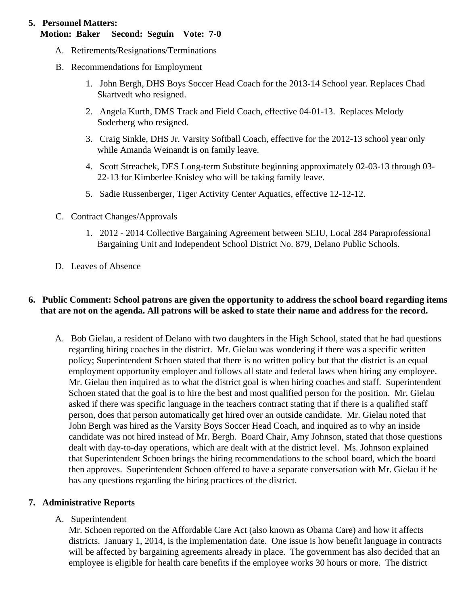# **5. Personnel Matters:**

# **Motion: Baker Second: Seguin Vote: 7-0**

- A. Retirements/Resignations/Terminations
- B. Recommendations for Employment
	- 1. John Bergh, DHS Boys Soccer Head Coach for the 2013-14 School year. Replaces Chad Skartvedt who resigned.
	- 2. Angela Kurth, DMS Track and Field Coach, effective 04-01-13. Replaces Melody Soderberg who resigned.
	- 3. Craig Sinkle, DHS Jr. Varsity Softball Coach, effective for the 2012-13 school year only while Amanda Weinandt is on family leave.
	- 4. Scott Streachek, DES Long-term Substitute beginning approximately 02-03-13 through 03- 22-13 for Kimberlee Knisley who will be taking family leave.
	- 5. Sadie Russenberger, Tiger Activity Center Aquatics, effective 12-12-12.
- C. Contract Changes/Approvals
	- 1. 2012 2014 Collective Bargaining Agreement between SEIU, Local 284 Paraprofessional Bargaining Unit and Independent School District No. 879, Delano Public Schools.
- D. Leaves of Absence

## **6. Public Comment: School patrons are given the opportunity to address the school board regarding items that are not on the agenda. All patrons will be asked to state their name and address for the record.**

A. Bob Gielau, a resident of Delano with two daughters in the High School, stated that he had questions regarding hiring coaches in the district. Mr. Gielau was wondering if there was a specific written policy; Superintendent Schoen stated that there is no written policy but that the district is an equal employment opportunity employer and follows all state and federal laws when hiring any employee. Mr. Gielau then inquired as to what the district goal is when hiring coaches and staff. Superintendent Schoen stated that the goal is to hire the best and most qualified person for the position. Mr. Gielau asked if there was specific language in the teachers contract stating that if there is a qualified staff person, does that person automatically get hired over an outside candidate. Mr. Gielau noted that John Bergh was hired as the Varsity Boys Soccer Head Coach, and inquired as to why an inside candidate was not hired instead of Mr. Bergh. Board Chair, Amy Johnson, stated that those questions dealt with day-to-day operations, which are dealt with at the district level. Ms. Johnson explained that Superintendent Schoen brings the hiring recommendations to the school board, which the board then approves. Superintendent Schoen offered to have a separate conversation with Mr. Gielau if he has any questions regarding the hiring practices of the district.

## **7. Administrative Reports**

## A. Superintendent

Mr. Schoen reported on the Affordable Care Act (also known as Obama Care) and how it affects districts. January 1, 2014, is the implementation date. One issue is how benefit language in contracts will be affected by bargaining agreements already in place. The government has also decided that an employee is eligible for health care benefits if the employee works 30 hours or more. The district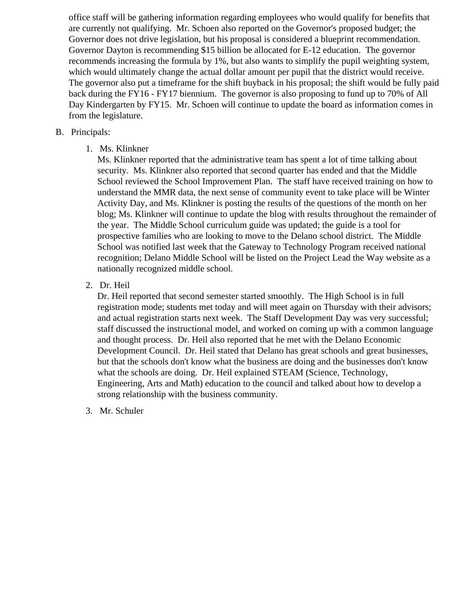office staff will be gathering information regarding employees who would qualify for benefits that are currently not qualifying. Mr. Schoen also reported on the Governor's proposed budget; the Governor does not drive legislation, but his proposal is considered a blueprint recommendation. Governor Dayton is recommending \$15 billion be allocated for E-12 education. The governor recommends increasing the formula by 1%, but also wants to simplify the pupil weighting system, which would ultimately change the actual dollar amount per pupil that the district would receive. The governor also put a timeframe for the shift buyback in his proposal; the shift would be fully paid back during the FY16 - FY17 biennium. The governor is also proposing to fund up to 70% of All Day Kindergarten by FY15. Mr. Schoen will continue to update the board as information comes in from the legislature.

#### B. Principals:

1. Ms. Klinkner

Ms. Klinkner reported that the administrative team has spent a lot of time talking about security. Ms. Klinkner also reported that second quarter has ended and that the Middle School reviewed the School Improvement Plan. The staff have received training on how to understand the MMR data, the next sense of community event to take place will be Winter Activity Day, and Ms. Klinkner is posting the results of the questions of the month on her blog; Ms. Klinkner will continue to update the blog with results throughout the remainder of the year. The Middle School curriculum guide was updated; the guide is a tool for prospective families who are looking to move to the Delano school district. The Middle School was notified last week that the Gateway to Technology Program received national recognition; Delano Middle School will be listed on the Project Lead the Way website as a nationally recognized middle school.

2. Dr. Heil

Dr. Heil reported that second semester started smoothly. The High School is in full registration mode; students met today and will meet again on Thursday with their advisors; and actual registration starts next week. The Staff Development Day was very successful; staff discussed the instructional model, and worked on coming up with a common language and thought process. Dr. Heil also reported that he met with the Delano Economic Development Council. Dr. Heil stated that Delano has great schools and great businesses, but that the schools don't know what the business are doing and the businesses don't know what the schools are doing. Dr. Heil explained STEAM (Science, Technology, Engineering, Arts and Math) education to the council and talked about how to develop a strong relationship with the business community.

3. Mr. Schuler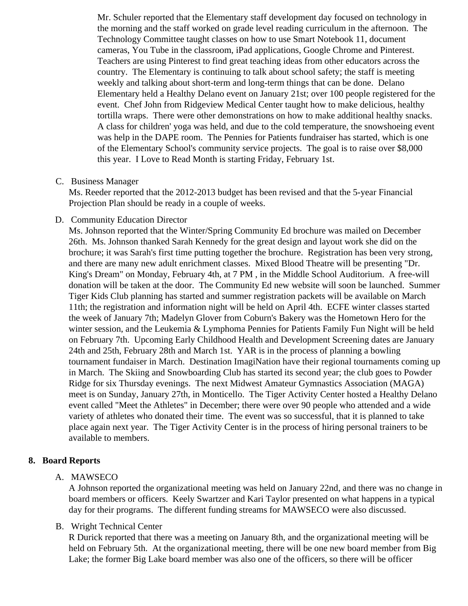Mr. Schuler reported that the Elementary staff development day focused on technology in the morning and the staff worked on grade level reading curriculum in the afternoon. The Technology Committee taught classes on how to use Smart Notebook 11, document cameras, You Tube in the classroom, iPad applications, Google Chrome and Pinterest. Teachers are using Pinterest to find great teaching ideas from other educators across the country. The Elementary is continuing to talk about school safety; the staff is meeting weekly and talking about short-term and long-term things that can be done. Delano Elementary held a Healthy Delano event on January 21st; over 100 people registered for the event. Chef John from Ridgeview Medical Center taught how to make delicious, healthy tortilla wraps. There were other demonstrations on how to make additional healthy snacks. A class for children' yoga was held, and due to the cold temperature, the snowshoeing ever was help in the DAPE room. The Pennies for Patients fundraiser has started, which is one of the Elementary School's community service projects. The goal is to raise over \$8,000 this year. I Love to Read Month is starting Friday, February 1st.

## C. Business Manager

Ms. Reeder reported that the 2012-2013 budget has been revised and that the 5-year Financial Projection Plan should be ready in a couple of weeks.

# D. Community EducationDirector

Ms. Johnson reported that the Winter/Spring Community Ed brochure was mailed on December 26th. Ms. Johnson thanked Sarah Kennedy for the great design and layout work she did on the brochure; it was Sarah's first time putting together the brochure. Registration has been very strong, and there are many new adult enrichment classes. Mixed Blood Theatre will be presenting "Dr. King's Dream" on Monday, February 4th, at 7 PM , in the Middle School Auditorium. A free-will donation will be taken at the door. The Community Ed new website will soon be launched. Summ Tiger Kids Club planning has started and summer registration packets will be available on March 11th; the registration and information night will be held on April 4th. ECFE winter classes started the week of January 7th; Madelyn Glover from Coburn's Bakery was the Hometown Hero for the winter session, and the Leukemia & Lymphoma Pennies for Patients Family Fun Night will be held on February 7th. Upcoming Early Childhood Health and Development Screening dates are Januar 24th and 25th, February 28th and March 1st. YAR is in the process of planning a bowling tournament fundaiser in March. Destination ImagiNation have their regional tournaments coming up in March. The Skiing and Snowboarding Club has started its second year; the club goes to Powde Ridge for six Thursday evenings. The next Midwest Amateur Gymnastics Association (MAGA) meet is on Sunday, January 27th, in Monticello. The Tiger Activity Center hosted a Healthy Delano event called "Meet the Athletes" in December; there were over 90 people who attended and a wide variety of athletes who donated their time. The event was so successful, that it is planned to take place again next year. The Tiger Activity Center is in the process of hiring personal trainers to be available to members.

8. Board Reports

# A. MAWSECO

A Johnson reported the organizational meeting was held on January 22nd, and there was no changer board members or officers. Keely Swartzer and Kari Taylor presented on what happens in a typica day for their programs. The different funding streams for MAWSECO were also discussed.

# B. Wright Technical Center

R Durick reported that there was a meeting on January 8th, and the organizational meeting will be held on February 5th. At the organizational meeting, there will be one new board member from Big Lake; the former Big Lake board member was also one of the officers, so there will be officer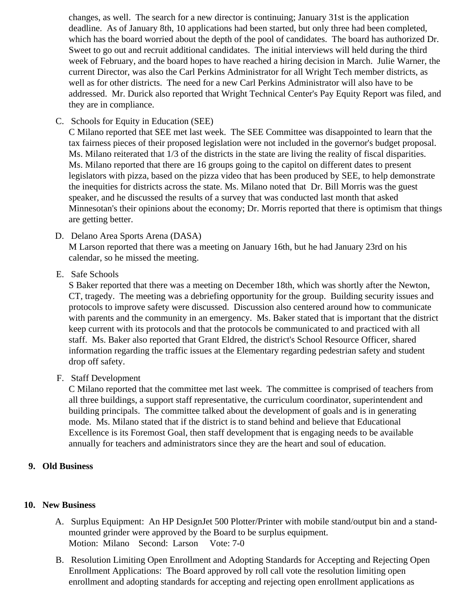changes, as well. The search for a new director is continuing; January 31st is the application deadline. As of January 8th, 10 applications had been started, but only three had been completed, which has the board worried about the depth of the pool of candidates. The board has authorized Sweet to go out and recruit additional candidates. The initial interviews will held during the third week of February, and the board hopes to have reached a hiring decision in March. Julie Warner, current Director, was also the Carl Perkins Administrator for all Wright Tech member districts, as well as for other districts. The need for a new Carl Perkins Administrator will also have to be addressed. Mr. Durick also reported that Wright Technical Center's Pay Equity Report was filed, a they are in compliance.

C. Schools for Equity in Education (SEE)

C Milano reported that SEE met last week. The SEE Committee was disappointed to learn that the tax fairness pieces of their proposed legislation were not included in the governor's budget proposa Ms. Milano reiterated that 1/3 of the districts in the state are living the reality of fiscal disparities. Ms. Milano reported that there are 16 groups going to the capitol on different dates to present legislators with pizza, based on the pizza video that has been produced by SEE, to help demonstrated by the inequities for districts across the state. Ms. Milano noted that Dr. Bill Morris was the guest speaker, and he discussed the results of a survey that was conducted last month that asked Minnesotan's their opinions about the economy; Dr. Morris reported that there is optimism that thin are getting better.

- D. Delano Area Sports Arena (DASA) M Larson reported that there was a meeting on January 16th, but he had January 23rd on his calendar, so he missed the meeting.
- E. Safe Schools

S Baker reported that there was a meeting on December 18th, which was shortly after the Newton, CT, tragedy. The meeting was a debriefing opportunity for the group. Building security issues and protocols to improve safety were discussed. Discussion also centered around how to communicate with parents and the community in an emergency. Ms. Baker stated that is important that the distri keep current with its protocols and that the protocols be communicated to and practiced with all staff. Ms. Baker also reported that Grant Eldred, the district's School Resource Officer, shared information regarding the traffic issues at the Elementary regarding pedestrian safety and student drop off safety.

F. Staff Development

C Milano reported that the committee met last week. The committee is comprised of teachers from all three buildings, a support staff representative, the curriculum coordinator, superintendent and building principals. The committee talked about the development of goals and is in generating mode. Ms. Milano stated that if the district is to stand behind and believe that Educational Excellence is its Foremost Goal, then staff development that is engaging needs to be available annually for teachers and administrators since they are the heart and soul of education.

- 9. Old Business
- 10. New Business
	- A. [Surplus Equipmen](/docs/district/Business_Office/Surplus_Equipment_1.28.13.pdf)t An HP DesignJet 500 Plotter/Printer with mobile stand/output bin and a standmounted grinder were approved by the Board to be surplus equipment. Motion: Milano Second: Larson Vote: 7-0
	- B. [Resolution Limiting Open Enrollme](/docs/district/Business_Office/Jan_13_Open_Enrollment_Resolution.pdf)rathd Adopting Standards for Accepting and Rejecting Open Enrollment Applications: The Board approved by roll call vote the resolution limiting open enrollment and adopting standards for accepting and rejecting open enrollment applications as